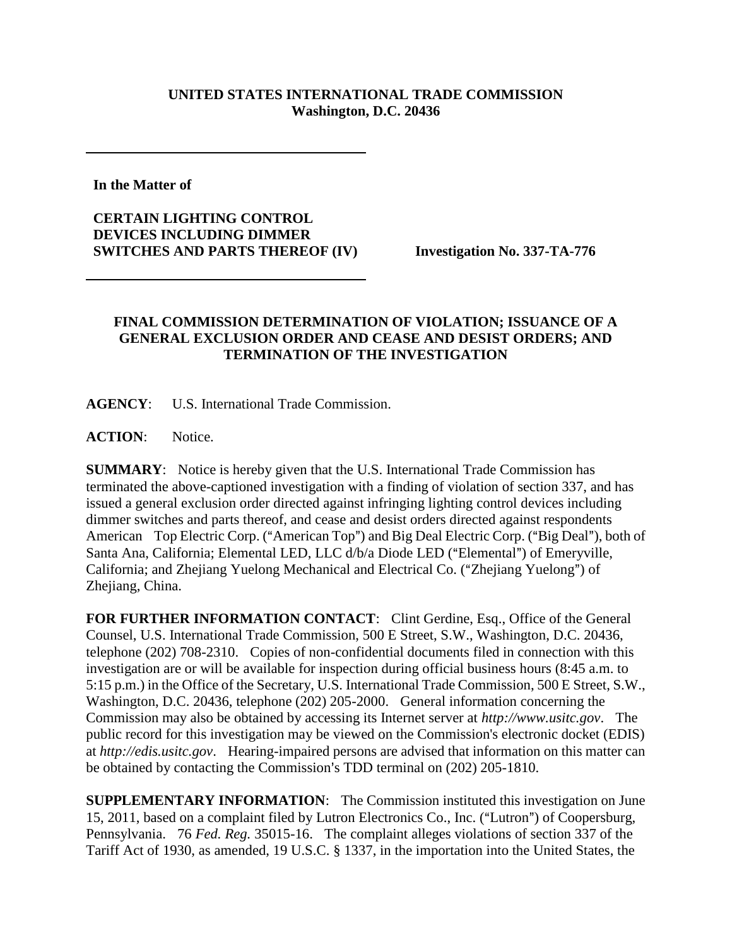## **UNITED STATES INTERNATIONAL TRADE COMMISSION Washington, D.C. 20436**

**In the Matter of** 

**CERTAIN LIGHTING CONTROL DEVICES INCLUDING DIMMER SWITCHES AND PARTS THEREOF (IV) Investigation No. 337-TA-776**

## **FINAL COMMISSION DETERMINATION OF VIOLATION; ISSUANCE OF A GENERAL EXCLUSION ORDER AND CEASE AND DESIST ORDERS; AND TERMINATION OF THE INVESTIGATION**

**AGENCY**: U.S. International Trade Commission.

ACTION: Notice.

**SUMMARY**: Notice is hereby given that the U.S. International Trade Commission has terminated the above-captioned investigation with a finding of violation of section 337, and has issued a general exclusion order directed against infringing lighting control devices including dimmer switches and parts thereof, and cease and desist orders directed against respondents American Top Electric Corp. ("American Top") and Big Deal Electric Corp. ("Big Deal"), both of Santa Ana, California; Elemental LED, LLC d/b/a Diode LED ("Elemental") of Emeryville, California; and Zhejiang Yuelong Mechanical and Electrical Co. ("Zhejiang Yuelong") of Zhejiang, China.

FOR FURTHER INFORMATION CONTACT: Clint Gerdine, Esq., Office of the General Counsel, U.S. International Trade Commission, 500 E Street, S.W., Washington, D.C. 20436, telephone (202) 708-2310. Copies of non-confidential documents filed in connection with this investigation are or will be available for inspection during official business hours (8:45 a.m. to 5:15 p.m.) in the Office of the Secretary, U.S. International Trade Commission, 500 E Street, S.W., Washington, D.C. 20436, telephone (202) 205-2000. General information concerning the Commission may also be obtained by accessing its Internet server at *http://www.usitc.gov*. The public record for this investigation may be viewed on the Commission's electronic docket (EDIS) at *http://edis.usitc.gov*. Hearing-impaired persons are advised that information on this matter can be obtained by contacting the Commission's TDD terminal on (202) 205-1810.

**SUPPLEMENTARY INFORMATION**: The Commission instituted this investigation on June 15, 2011, based on a complaint filed by Lutron Electronics Co., Inc. ("Lutron") of Coopersburg, Pennsylvania. 76 *Fed. Reg.* 35015-16. The complaint alleges violations of section 337 of the Tariff Act of 1930, as amended, 19 U.S.C. § 1337, in the importation into the United States, the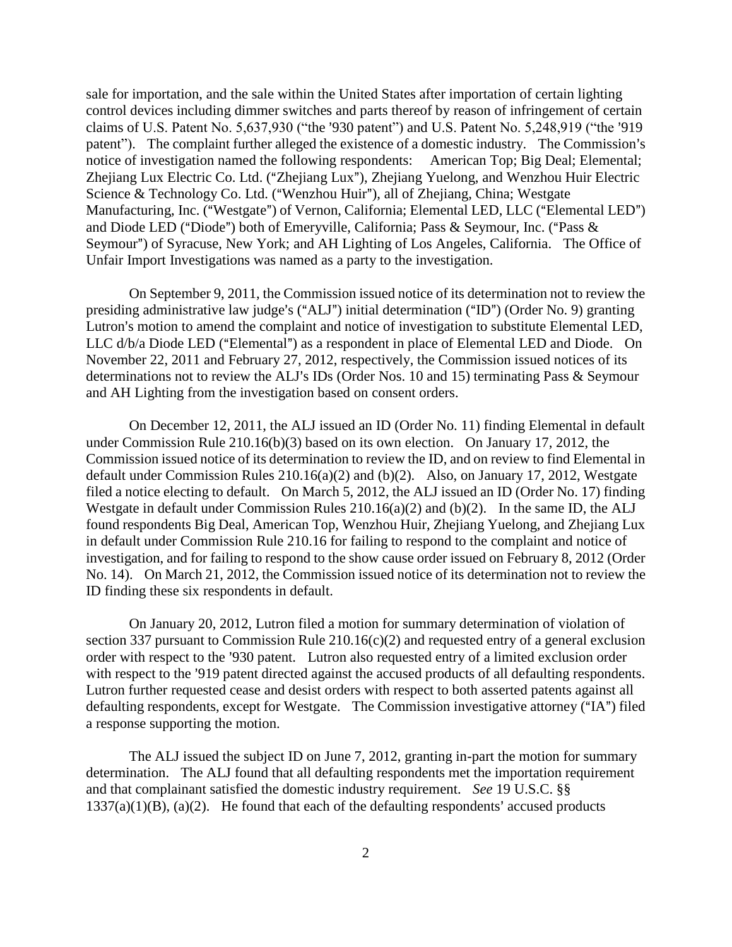sale for importation, and the sale within the United States after importation of certain lighting control devices including dimmer switches and parts thereof by reason of infringement of certain claims of U.S. Patent No. 5,637,930 ("the '930 patent") and U.S. Patent No. 5,248,919 ("the '919" patent"). The complaint further alleged the existence of a domestic industry. The Commission's notice of investigation named the following respondents: American Top; Big Deal; Elemental; Zhejiang Lux Electric Co. Ltd. ("Zhejiang Lux"), Zhejiang Yuelong, and Wenzhou Huir Electric Science & Technology Co. Ltd. ("Wenzhou Huir"), all of Zhejiang, China; Westgate Manufacturing, Inc. ("Westgate") of Vernon, California; Elemental LED, LLC ("Elemental LED") and Diode LED ("Diode") both of Emeryville, California; Pass & Seymour, Inc. ("Pass & Seymour") of Syracuse, New York; and AH Lighting of Los Angeles, California. The Office of Unfair Import Investigations was named as a party to the investigation.

On September 9, 2011, the Commission issued notice of its determination not to review the presiding administrative law judge's ("ALJ") initial determination ("ID") (Order No. 9) granting Lutron's motion to amend the complaint and notice of investigation to substitute Elemental LED, LLC d/b/a Diode LED ("Elemental") as a respondent in place of Elemental LED and Diode. On November 22, 2011 and February 27, 2012, respectively, the Commission issued notices of its determinations not to review the ALJ's IDs (Order Nos. 10 and 15) terminating Pass  $\&$  Seymour and AH Lighting from the investigation based on consent orders.

On December 12, 2011, the ALJ issued an ID (Order No. 11) finding Elemental in default under Commission Rule 210.16(b)(3) based on its own election. On January 17, 2012, the Commission issued notice of its determination to review the ID, and on review to find Elemental in default under Commission Rules 210.16(a)(2) and (b)(2). Also, on January 17, 2012, Westgate filed a notice electing to default. On March 5, 2012, the ALJ issued an ID (Order No. 17) finding Westgate in default under Commission Rules 210.16(a)(2) and (b)(2). In the same ID, the ALJ found respondents Big Deal, American Top, Wenzhou Huir, Zhejiang Yuelong, and Zhejiang Lux in default under Commission Rule 210.16 for failing to respond to the complaint and notice of investigation, and for failing to respond to the show cause order issued on February 8, 2012 (Order No. 14). On March 21, 2012, the Commission issued notice of its determination not to review the ID finding these six respondents in default.

On January 20, 2012, Lutron filed a motion for summary determination of violation of section 337 pursuant to Commission Rule 210.16(c)(2) and requested entry of a general exclusion order with respect to the '930 patent. Lutron also requested entry of a limited exclusion order with respect to the '919 patent directed against the accused products of all defaulting respondents. Lutron further requested cease and desist orders with respect to both asserted patents against all defaulting respondents, except for Westgate. The Commission investigative attorney ("IA") filed a response supporting the motion.

 The ALJ issued the subject ID on June 7, 2012, granting in-part the motion for summary determination. The ALJ found that all defaulting respondents met the importation requirement and that complainant satisfied the domestic industry requirement. *See* 19 U.S.C. §§  $1337(a)(1)(B)$ ,  $(a)(2)$ . He found that each of the defaulting respondents' accused products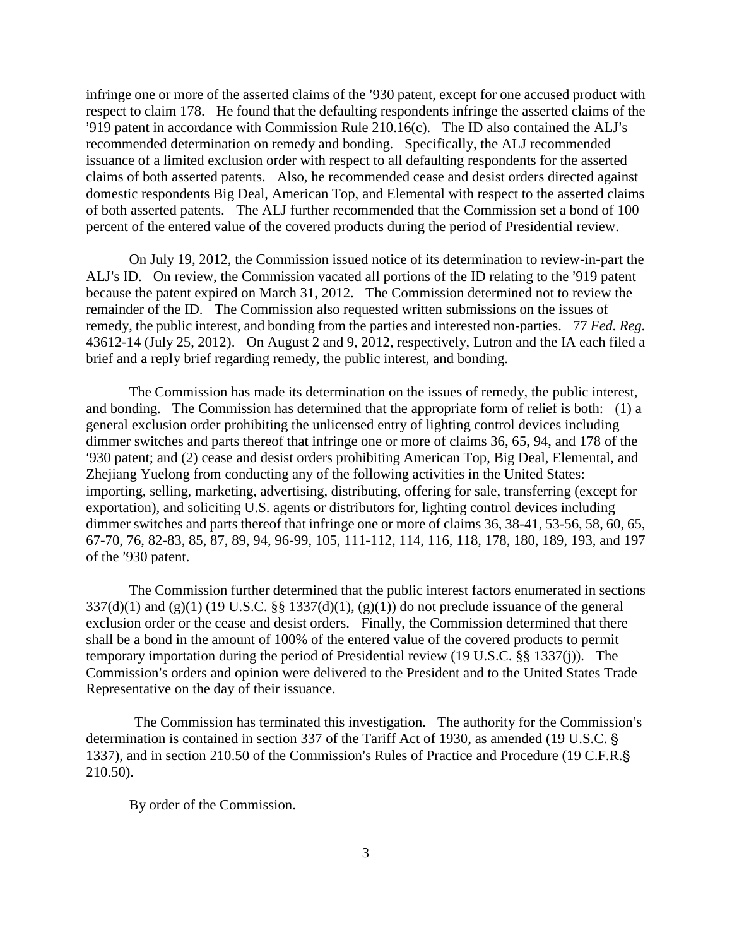infringe one or more of the asserted claims of the '930 patent, except for one accused product with respect to claim 178. He found that the defaulting respondents infringe the asserted claims of the '919 patent in accordance with Commission Rule  $210.16(c)$ . The ID also contained the ALJ's recommended determination on remedy and bonding. Specifically, the ALJ recommended issuance of a limited exclusion order with respect to all defaulting respondents for the asserted claims of both asserted patents. Also, he recommended cease and desist orders directed against domestic respondents Big Deal, American Top, and Elemental with respect to the asserted claims of both asserted patents. The ALJ further recommended that the Commission set a bond of 100 percent of the entered value of the covered products during the period of Presidential review.

On July 19, 2012, the Commission issued notice of its determination to review-in-part the ALJ's ID. On review, the Commission vacated all portions of the ID relating to the '919 patent because the patent expired on March 31, 2012. The Commission determined not to review the remainder of the ID. The Commission also requested written submissions on the issues of remedy, the public interest, and bonding from the parties and interested non-parties. 77 *Fed. Reg.*  43612-14 (July 25, 2012). On August 2 and 9, 2012, respectively, Lutron and the IA each filed a brief and a reply brief regarding remedy, the public interest, and bonding.

The Commission has made its determination on the issues of remedy, the public interest, and bonding. The Commission has determined that the appropriate form of relief is both: (1) a general exclusion order prohibiting the unlicensed entry of lighting control devices including dimmer switches and parts thereof that infringe one or more of claims 36, 65, 94, and 178 of the >930 patent; and (2) cease and desist orders prohibiting American Top, Big Deal, Elemental, and Zhejiang Yuelong from conducting any of the following activities in the United States: importing, selling, marketing, advertising, distributing, offering for sale, transferring (except for exportation), and soliciting U.S. agents or distributors for, lighting control devices including dimmer switches and parts thereof that infringe one or more of claims 36, 38-41, 53-56, 58, 60, 65, 67-70, 76, 82-83, 85, 87, 89, 94, 96-99, 105, 111-112, 114, 116, 118, 178, 180, 189, 193, and 197 of the '930 patent.

The Commission further determined that the public interest factors enumerated in sections  $337(d)(1)$  and  $(g)(1)$  (19 U.S.C. §§ 1337(d)(1), (g)(1)) do not preclude issuance of the general exclusion order or the cease and desist orders. Finally, the Commission determined that there shall be a bond in the amount of 100% of the entered value of the covered products to permit temporary importation during the period of Presidential review (19 U.S.C. §§ 1337(j)). The Commission's orders and opinion were delivered to the President and to the United States Trade Representative on the day of their issuance.

The Commission has terminated this investigation. The authority for the Commission's determination is contained in section 337 of the Tariff Act of 1930, as amended (19 U.S.C. § 1337), and in section 210.50 of the Commission's Rules of Practice and Procedure (19 C.F.R.§ 210.50).

By order of the Commission.